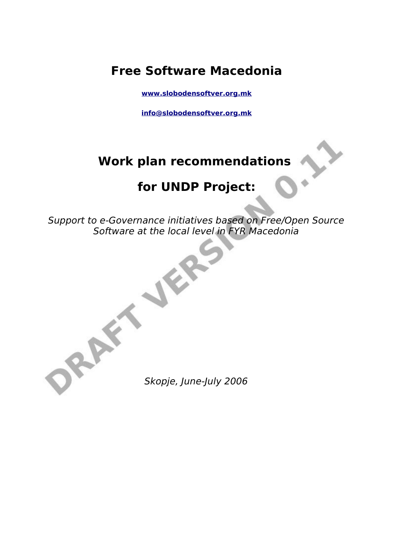### **Free Software Macedonia**

**[www.slobodensoftver.org.mk](http://www.slobodensoftver.org.mk/)**

**[info@slobodensoftver.org.mk](mailto:info@slobodensoftver.org.mk)**

# **Work plan recommendations**

# **for UNDP Project:**

Support to e-Governance initiatives based on Free/Open Source Software at the local level in FYR Macedonia

Skopje, June-July 2006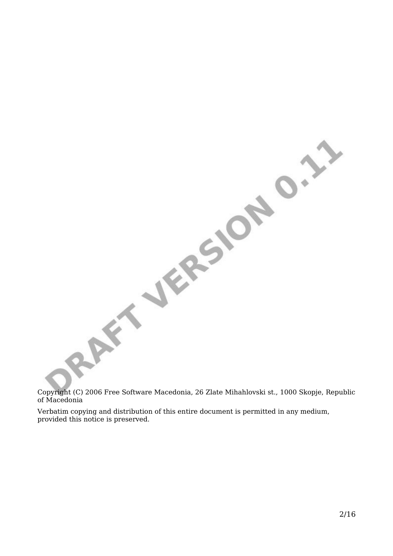Copyright (C) 2006 Free Software Macedonia, 26 Zlate Mihahlovski st., 1000 Skopje, Republic of Macedonia

RAFT JERSION D.2.3

Verbatim copying and distribution of this entire document is permitted in any medium, provided this notice is preserved.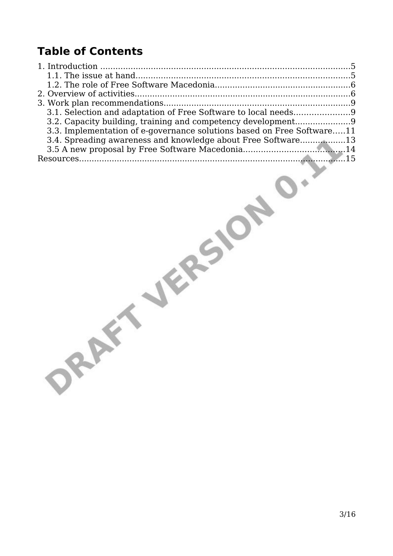# **Table of Contents**

| 3.2. Capacity building, training and competency development9           |  |
|------------------------------------------------------------------------|--|
| 3.3. Implementation of e-governance solutions based on Free Software11 |  |
| 3.4. Spreading awareness and knowledge about Free Software13           |  |
|                                                                        |  |
|                                                                        |  |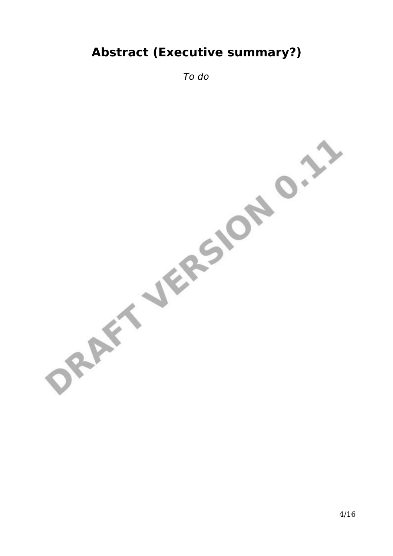# **Abstract (Executive summary?)**

To do

ORAFT JERSION O.I.I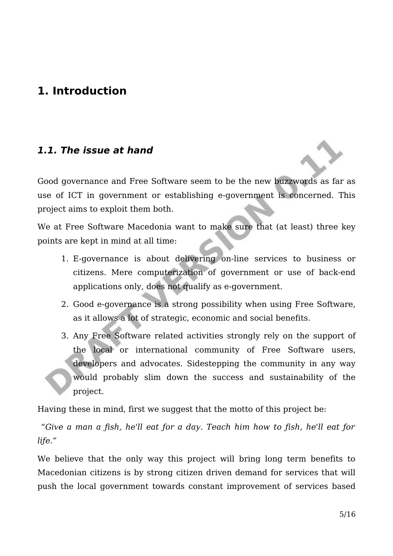### **1. Introduction**

#### **1.1. The issue at hand**

Good governance and Free Software seem to be the new buzzwords as far as use of ICT in government or establishing e-government is concerned. This project aims to exploit them both.

We at Free Software Macedonia want to make sure that (at least) three key points are kept in mind at all time:

- 1. E-governance is about delivering on-line services to business or citizens. Mere computerization of government or use of back-end applications only, does not qualify as e-government.
- 2. Good e-governance is a strong possibility when using Free Software, as it allows a lot of strategic, economic and social benefits.
- 3. Any Free Software related activities strongly rely on the support of the local or international community of Free Software users, developers and advocates. Sidestepping the community in any way would probably slim down the success and sustainability of the project.

Having these in mind, first we suggest that the motto of this project be:

"Give a man a fish, he'll eat for a day. Teach him how to fish, he'll eat for life."

We believe that the only way this project will bring long term benefits to Macedonian citizens is by strong citizen driven demand for services that will push the local government towards constant improvement of services based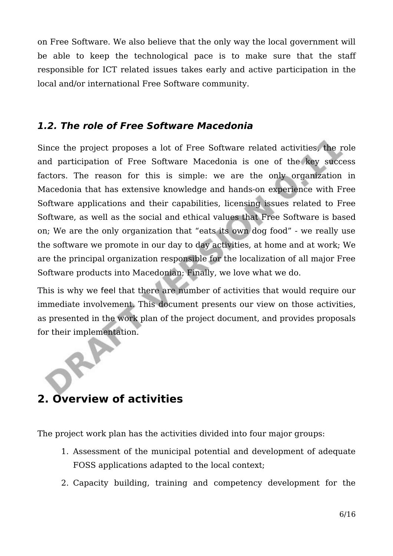on Free Software. We also believe that the only way the local government will be able to keep the technological pace is to make sure that the staff responsible for ICT related issues takes early and active participation in the local and/or international Free Software community.

### **1.2. The role of Free Software Macedonia**

Since the project proposes a lot of Free Software related activities, the role and participation of Free Software Macedonia is one of the key success factors. The reason for this is simple: we are the only organization in Macedonia that has extensive knowledge and hands-on experience with Free Software applications and their capabilities, licensing issues related to Free Software, as well as the social and ethical values that Free Software is based on; We are the only organization that "eats its own dog food" - we really use the software we promote in our day to day activities, at home and at work; We are the principal organization responsible for the localization of all major Free Software products into Macedonian; Finally, we love what we do.

This is why we feel that there are number of activities that would require our immediate involvement. This document presents our view on those activities, as presented in the work plan of the project document, and provides proposals for their implementation.

### **2. Overview of activities**

The project work plan has the activities divided into four major groups:

- 1. Assessment of the municipal potential and development of adequate FOSS applications adapted to the local context;
- 2. Capacity building, training and competency development for the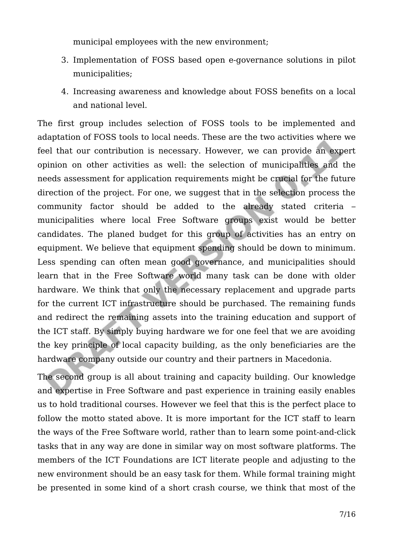municipal employees with the new environment;

- 3. Implementation of FOSS based open e-governance solutions in pilot municipalities;
- 4. Increasing awareness and knowledge about FOSS benefits on a local and national level.

The first group includes selection of FOSS tools to be implemented and adaptation of FOSS tools to local needs. These are the two activities where we feel that our contribution is necessary. However, we can provide an expert opinion on other activities as well: the selection of municipalities and the needs assessment for application requirements might be crucial for the future direction of the project. For one, we suggest that in the selection process the community factor should be added to the already stated criteria – municipalities where local Free Software groups exist would be better candidates. The planed budget for this group of activities has an entry on equipment. We believe that equipment spending should be down to minimum. Less spending can often mean good governance, and municipalities should learn that in the Free Software world many task can be done with older hardware. We think that only the necessary replacement and upgrade parts for the current ICT infrastructure should be purchased. The remaining funds and redirect the remaining assets into the training education and support of the ICT staff. By simply buying hardware we for one feel that we are avoiding the key principle of local capacity building, as the only beneficiaries are the hardware company outside our country and their partners in Macedonia.

The second group is all about training and capacity building. Our knowledge and expertise in Free Software and past experience in training easily enables us to hold traditional courses. However we feel that this is the perfect place to follow the motto stated above. It is more important for the ICT staff to learn the ways of the Free Software world, rather than to learn some point-and-click tasks that in any way are done in similar way on most software platforms. The members of the ICT Foundations are ICT literate people and adjusting to the new environment should be an easy task for them. While formal training might be presented in some kind of a short crash course, we think that most of the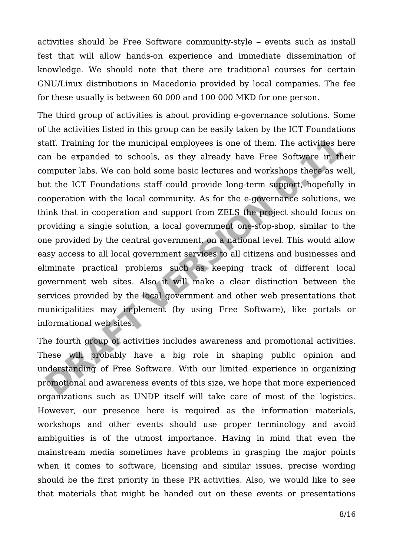activities should be Free Software community-style – events such as install fest that will allow hands-on experience and immediate dissemination of knowledge. We should note that there are traditional courses for certain GNU/Linux distributions in Macedonia provided by local companies. The fee for these usually is between 60 000 and 100 000 MKD for one person.

The third group of activities is about providing e-governance solutions. Some of the activities listed in this group can be easily taken by the ICT Foundations staff. Training for the municipal employees is one of them. The activities here can be expanded to schools, as they already have Free Software in their computer labs. We can hold some basic lectures and workshops there as well, but the ICT Foundations staff could provide long-term support, hopefully in cooperation with the local community. As for the e-governance solutions, we think that in cooperation and support from ZELS the project should focus on providing a single solution, a local government one-stop-shop, similar to the one provided by the central government, on a national level. This would allow easy access to all local government services to all citizens and businesses and eliminate practical problems such as keeping track of different local government web sites. Also it will make a clear distinction between the services provided by the local government and other web presentations that municipalities may implement (by using Free Software), like portals or informational web sites.

The fourth group of activities includes awareness and promotional activities. These will probably have a big role in shaping public opinion and understanding of Free Software. With our limited experience in organizing promotional and awareness events of this size, we hope that more experienced organizations such as UNDP itself will take care of most of the logistics. However, our presence here is required as the information materials, workshops and other events should use proper terminology and avoid ambiguities is of the utmost importance. Having in mind that even the mainstream media sometimes have problems in grasping the major points when it comes to software, licensing and similar issues, precise wording should be the first priority in these PR activities. Also, we would like to see that materials that might be handed out on these events or presentations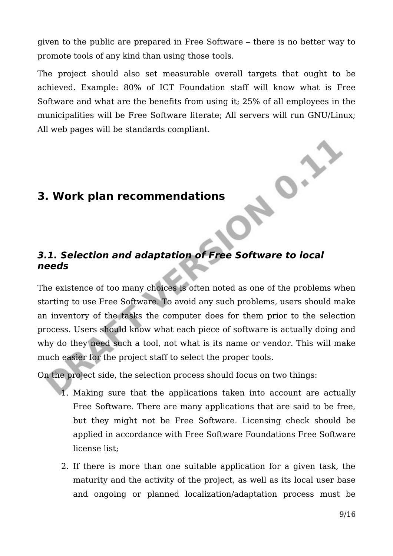given to the public are prepared in Free Software – there is no better way to promote tools of any kind than using those tools.

The project should also set measurable overall targets that ought to be achieved. Example: 80% of ICT Foundation staff will know what is Free Software and what are the benefits from using it; 25% of all employees in the municipalities will be Free Software literate; All servers will run GNU/Linux; All web pages will be standards compliant.

### **3. Work plan recommendations**

#### **3.1. Selection and adaptation of Free Software to local needs**

The existence of too many choices is often noted as one of the problems when starting to use Free Software. To avoid any such problems, users should make an inventory of the tasks the computer does for them prior to the selection process. Users should know what each piece of software is actually doing and why do they need such a tool, not what is its name or vendor. This will make much easier for the project staff to select the proper tools.

On the project side, the selection process should focus on two things:

- 1. Making sure that the applications taken into account are actually Free Software. There are many applications that are said to be free, but they might not be Free Software. Licensing check should be applied in accordance with Free Software Foundations Free Software license list;
- 2. If there is more than one suitable application for a given task, the maturity and the activity of the project, as well as its local user base and ongoing or planned localization/adaptation process must be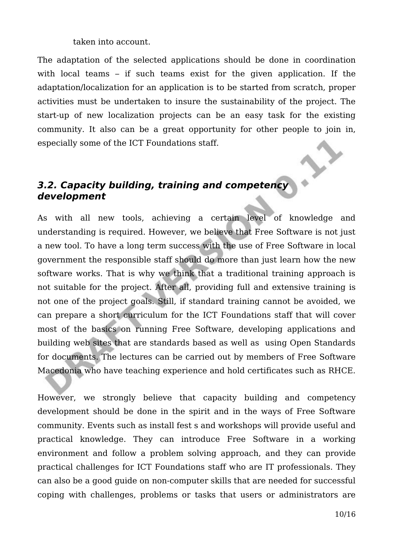taken into account.

The adaptation of the selected applications should be done in coordination with local teams – if such teams exist for the given application. If the adaptation/localization for an application is to be started from scratch, proper activities must be undertaken to insure the sustainability of the project. The start-up of new localization projects can be an easy task for the existing community. It also can be a great opportunity for other people to join in, especially some of the ICT Foundations staff.

### **3.2. Capacity building, training and competency development**

As with all new tools, achieving a certain level of knowledge and understanding is required. However, we believe that Free Software is not just a new tool. To have a long term success with the use of Free Software in local government the responsible staff should do more than just learn how the new software works. That is why we think that a traditional training approach is not suitable for the project. After all, providing full and extensive training is not one of the project goals. Still, if standard training cannot be avoided, we can prepare a short curriculum for the ICT Foundations staff that will cover most of the basics on running Free Software, developing applications and building web sites that are standards based as well as using Open Standards for documents. The lectures can be carried out by members of Free Software Macedonia who have teaching experience and hold certificates such as RHCE.

However, we strongly believe that capacity building and competency development should be done in the spirit and in the ways of Free Software community. Events such as install fest s and workshops will provide useful and practical knowledge. They can introduce Free Software in a working environment and follow a problem solving approach, and they can provide practical challenges for ICT Foundations staff who are IT professionals. They can also be a good guide on non-computer skills that are needed for successful coping with challenges, problems or tasks that users or administrators are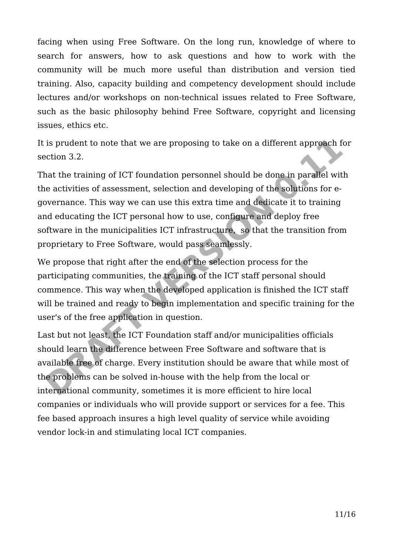facing when using Free Software. On the long run, knowledge of where to search for answers, how to ask questions and how to work with the community will be much more useful than distribution and version tied training. Also, capacity building and competency development should include lectures and/or workshops on non-technical issues related to Free Software, such as the basic philosophy behind Free Software, copyright and licensing issues, ethics etc.

It is prudent to note that we are proposing to take on a different approach for section 3.2.

That the training of ICT foundation personnel should be done in parallel with the activities of assessment, selection and developing of the solutions for egovernance. This way we can use this extra time and dedicate it to training and educating the ICT personal how to use, configure and deploy free software in the municipalities ICT infrastructure, so that the transition from proprietary to Free Software, would pass seamlessly.

We propose that right after the end of the selection process for the participating communities, the training of the ICT staff personal should commence. This way when the developed application is finished the ICT staff will be trained and ready to begin implementation and specific training for the user's of the free application in question.

Last but not least, the ICT Foundation staff and/or municipalities officials should learn the difference between Free Software and software that is available free of charge. Every institution should be aware that while most of the problems can be solved in-house with the help from the local or international community, sometimes it is more efficient to hire local companies or individuals who will provide support or services for a fee. This fee based approach insures a high level quality of service while avoiding vendor lock-in and stimulating local ICT companies.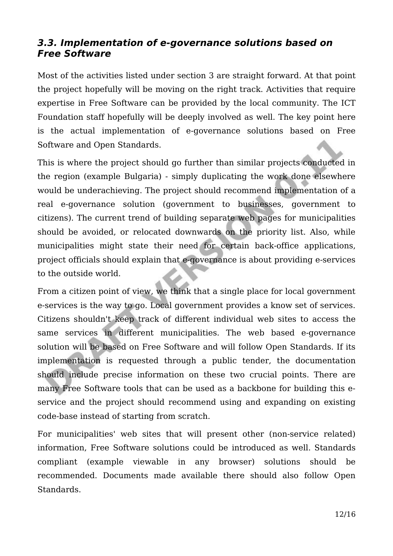#### **3.3. Implementation of e-governance solutions based on Free Software**

Most of the activities listed under section 3 are straight forward. At that point the project hopefully will be moving on the right track. Activities that require expertise in Free Software can be provided by the local community. The ICT Foundation staff hopefully will be deeply involved as well. The key point here is the actual implementation of e-governance solutions based on Free Software and Open Standards.

This is where the project should go further than similar projects conducted in the region (example Bulgaria) - simply duplicating the work done elsewhere would be underachieving. The project should recommend implementation of a real e-governance solution (government to businesses, government to citizens). The current trend of building separate web pages for municipalities should be avoided, or relocated downwards on the priority list. Also, while municipalities might state their need for certain back-office applications, project officials should explain that e-governance is about providing e-services to the outside world.

From a citizen point of view, we think that a single place for local government e-services is the way to go. Local government provides a know set of services. Citizens shouldn't keep track of different individual web sites to access the same services in different municipalities. The web based e-governance solution will be based on Free Software and will follow Open Standards. If its implementation is requested through a public tender, the documentation should include precise information on these two crucial points. There are many Free Software tools that can be used as a backbone for building this eservice and the project should recommend using and expanding on existing code-base instead of starting from scratch.

For municipalities' web sites that will present other (non-service related) information, Free Software solutions could be introduced as well. Standards compliant (example viewable in any browser) solutions should be recommended. Documents made available there should also follow Open Standards.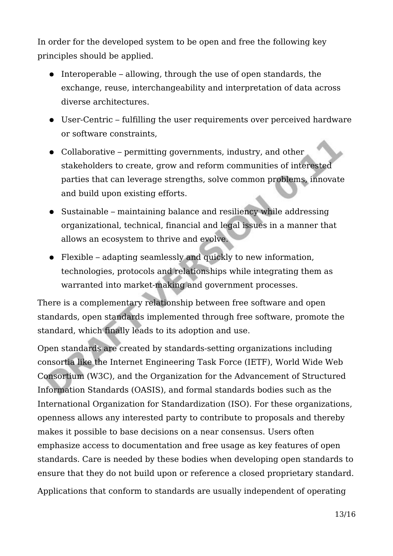In order for the developed system to be open and free the following key principles should be applied.

- Interoperable allowing, through the use of open standards, the exchange, reuse, interchangeability and interpretation of data across diverse architectures.
- User-Centric fulfilling the user requirements over perceived hardware or software constraints,
- Collaborative permitting governments, industry, and other stakeholders to create, grow and reform communities of interested parties that can leverage strengths, solve common problems, innovate and build upon existing efforts.
- Sustainable maintaining balance and resiliency while addressing organizational, technical, financial and legal issues in a manner that allows an ecosystem to thrive and evolve.
- Flexible adapting seamlessly and quickly to new information, technologies, protocols and relationships while integrating them as warranted into market-making and government processes.

There is a complementary relationship between free software and open standards, open standards implemented through free software, promote the standard, which finally leads to its adoption and use.

Open standards are created by standards-setting organizations including consortia like the Internet Engineering Task Force (IETF), World Wide Web Consortium (W3C), and the Organization for the Advancement of Structured Information Standards (OASIS), and formal standards bodies such as the International Organization for Standardization (ISO). For these organizations, openness allows any interested party to contribute to proposals and thereby makes it possible to base decisions on a near consensus. Users often emphasize access to documentation and free usage as key features of open standards. Care is needed by these bodies when developing open standards to ensure that they do not build upon or reference a closed proprietary standard. Applications that conform to standards are usually independent of operating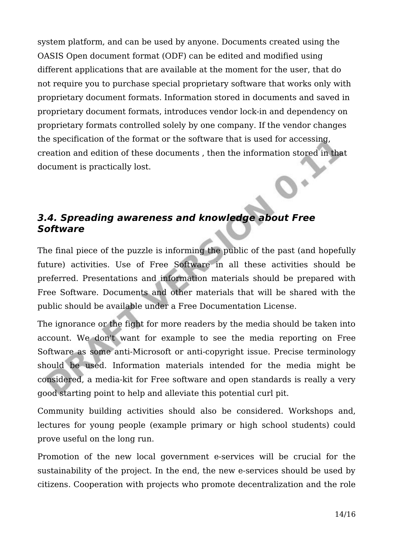system platform, and can be used by anyone. Documents created using the OASIS Open document format (ODF) can be edited and modified using different applications that are available at the moment for the user, that do not require you to purchase special proprietary software that works only with proprietary document formats. Information stored in documents and saved in proprietary document formats, introduces vendor lock-in and dependency on proprietary formats controlled solely by one company. If the vendor changes the specification of the format or the software that is used for accessing, creation and edition of these documents , then the information stored in that document is practically lost.

### **3.4. Spreading awareness and knowledge about Free Software**

The final piece of the puzzle is informing the public of the past (and hopefully future) activities. Use of Free Software in all these activities should be preferred. Presentations and information materials should be prepared with Free Software. Documents and other materials that will be shared with the public should be available under a Free Documentation License.

The ignorance or the fight for more readers by the media should be taken into account. We don't want for example to see the media reporting on Free Software as some anti-Microsoft or anti-copyright issue. Precise terminology should be used. Information materials intended for the media might be considered, a media-kit for Free software and open standards is really a very good starting point to help and alleviate this potential curl pit.

Community building activities should also be considered. Workshops and, lectures for young people (example primary or high school students) could prove useful on the long run.

Promotion of the new local government e-services will be crucial for the sustainability of the project. In the end, the new e-services should be used by citizens. Cooperation with projects who promote decentralization and the role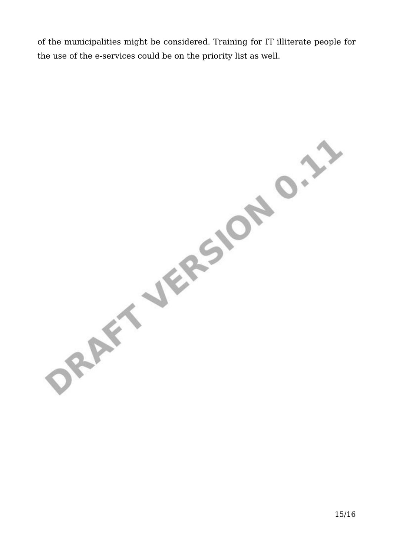of the municipalities might be considered. Training for IT illiterate people for the use of the e-services could be on the priority list as well.

ORAFT JERSION O. 17